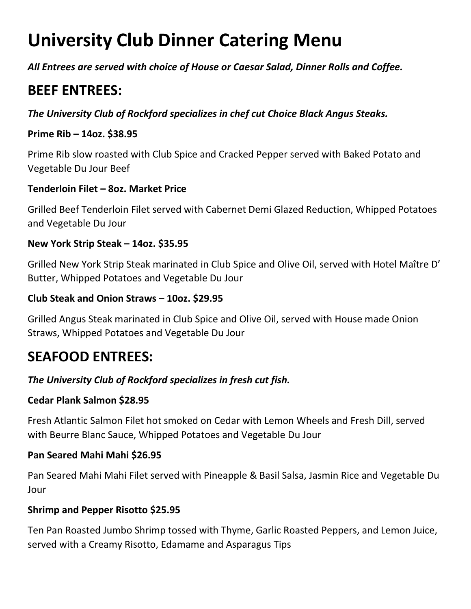# **University Club Dinner Catering Menu**

*All Entrees are served with choice of House or Caesar Salad, Dinner Rolls and Coffee.* 

# **BEEF ENTREES:**

*The University Club of Rockford specializes in chef cut Choice Black Angus Steaks.* 

### **Prime Rib – 14oz. \$38.95**

Prime Rib slow roasted with Club Spice and Cracked Pepper served with Baked Potato and Vegetable Du Jour Beef

# **Tenderloin Filet – 8oz. Market Price**

Grilled Beef Tenderloin Filet served with Cabernet Demi Glazed Reduction, Whipped Potatoes and Vegetable Du Jour

#### **New York Strip Steak – 14oz. \$35.95**

Grilled New York Strip Steak marinated in Club Spice and Olive Oil, served with Hotel Maître D' Butter, Whipped Potatoes and Vegetable Du Jour

#### **Club Steak and Onion Straws – 10oz. \$29.95**

Grilled Angus Steak marinated in Club Spice and Olive Oil, served with House made Onion Straws, Whipped Potatoes and Vegetable Du Jour

# **SEAFOOD ENTREES:**

# *The University Club of Rockford specializes in fresh cut fish.*

#### **Cedar Plank Salmon \$28.95**

Fresh Atlantic Salmon Filet hot smoked on Cedar with Lemon Wheels and Fresh Dill, served with Beurre Blanc Sauce, Whipped Potatoes and Vegetable Du Jour

#### **Pan Seared Mahi Mahi \$26.95**

Pan Seared Mahi Mahi Filet served with Pineapple & Basil Salsa, Jasmin Rice and Vegetable Du Jour

#### **Shrimp and Pepper Risotto \$25.95**

Ten Pan Roasted Jumbo Shrimp tossed with Thyme, Garlic Roasted Peppers, and Lemon Juice, served with a Creamy Risotto, Edamame and Asparagus Tips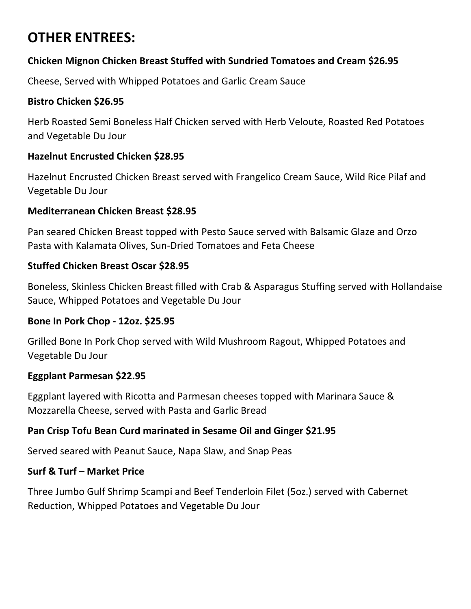# **OTHER ENTREES:**

# **Chicken Mignon Chicken Breast Stuffed with Sundried Tomatoes and Cream \$26.95**

Cheese, Served with Whipped Potatoes and Garlic Cream Sauce

# **Bistro Chicken \$26.95**

Herb Roasted Semi Boneless Half Chicken served with Herb Veloute, Roasted Red Potatoes and Vegetable Du Jour

# **Hazelnut Encrusted Chicken \$28.95**

Hazelnut Encrusted Chicken Breast served with Frangelico Cream Sauce, Wild Rice Pilaf and Vegetable Du Jour

# **Mediterranean Chicken Breast \$28.95**

Pan seared Chicken Breast topped with Pesto Sauce served with Balsamic Glaze and Orzo Pasta with Kalamata Olives, Sun-Dried Tomatoes and Feta Cheese

# **Stuffed Chicken Breast Oscar \$28.95**

Boneless, Skinless Chicken Breast filled with Crab & Asparagus Stuffing served with Hollandaise Sauce, Whipped Potatoes and Vegetable Du Jour

#### **Bone In Pork Chop - 12oz. \$25.95**

Grilled Bone In Pork Chop served with Wild Mushroom Ragout, Whipped Potatoes and Vegetable Du Jour

#### **Eggplant Parmesan \$22.95**

Eggplant layered with Ricotta and Parmesan cheeses topped with Marinara Sauce & Mozzarella Cheese, served with Pasta and Garlic Bread

#### **Pan Crisp Tofu Bean Curd marinated in Sesame Oil and Ginger \$21.95**

Served seared with Peanut Sauce, Napa Slaw, and Snap Peas

#### **Surf & Turf – Market Price**

Three Jumbo Gulf Shrimp Scampi and Beef Tenderloin Filet (5oz.) served with Cabernet Reduction, Whipped Potatoes and Vegetable Du Jour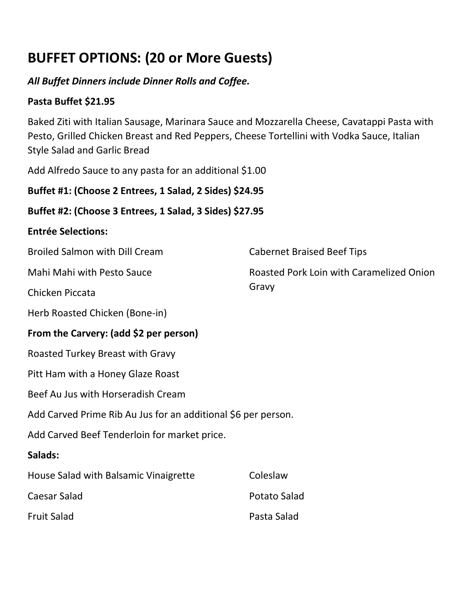# **BUFFET OPTIONS: (20 or More Guests)**

# *All Buffet Dinners include Dinner Rolls and Coffee.*

# **Pasta Buffet \$21.95**

Baked Ziti with Italian Sausage, Marinara Sauce and Mozzarella Cheese, Cavatappi Pasta with Pesto, Grilled Chicken Breast and Red Peppers, Cheese Tortellini with Vodka Sauce, Italian Style Salad and Garlic Bread

Cabernet Braised Beef Tips

Gravy

Roasted Pork Loin with Caramelized Onion

Add Alfredo Sauce to any pasta for an additional \$1.00

**Buffet #1: (Choose 2 Entrees, 1 Salad, 2 Sides) \$24.95** 

# **Buffet #2: (Choose 3 Entrees, 1 Salad, 3 Sides) \$27.95**

#### **Entrée Selections:**

Broiled Salmon with Dill Cream

Mahi Mahi with Pesto Sauce

Chicken Piccata

Herb Roasted Chicken (Bone-in)

# **From the Carvery: (add \$2 per person)**

Roasted Turkey Breast with Gravy

Pitt Ham with a Honey Glaze Roast

Beef Au Jus with Horseradish Cream

Add Carved Prime Rib Au Jus for an additional \$6 per person.

Add Carved Beef Tenderloin for market price.

#### **Salads:**

| House Salad with Balsamic Vinaigrette | Coleslaw     |
|---------------------------------------|--------------|
| Caesar Salad                          | Potato Salad |
| <b>Fruit Salad</b>                    | Pasta Salad  |